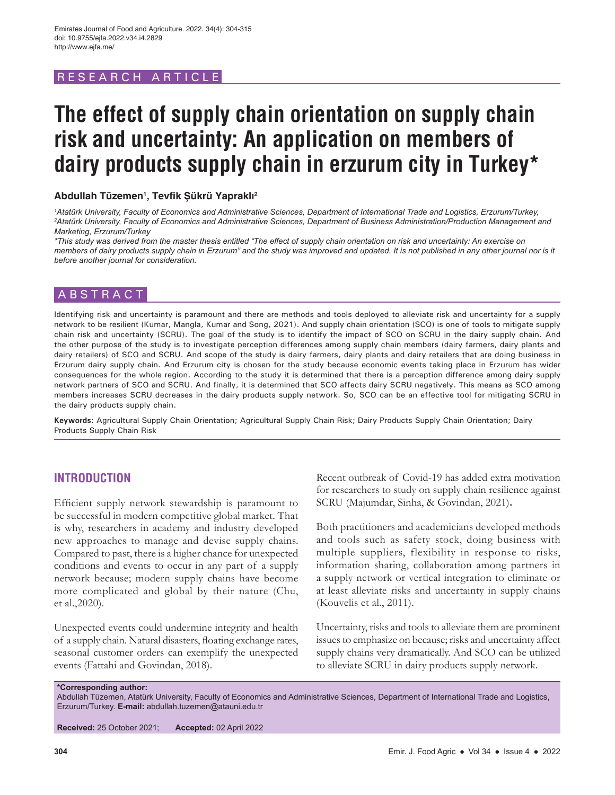# RESEARCH ARTICL

# **The effect of supply chain orientation on supply chain risk and uncertainty: An application on members of dairy products supply chain in erzurum city in Turkey\***

# **Abdullah Tüzemen1 , Tevfik Şükrü Yapraklı<sup>2</sup>**

*1 Atatürk University, Faculty of Economics and Administrative Sciences, Department of International Trade and Logistics, Erzurum/Turkey, 2 Atatürk University, Faculty of Economics and Administrative Sciences, Department of Business Administration/Production Management and Marketing, Erzurum/Turkey*

*\*This study was derived from the master thesis entitled "The effect of supply chain orientation on risk and uncertainty: An exercise on members of dairy products supply chain in Erzurum" and the study was improved and updated. It is not published in any other journal nor is it before another journal for consideration.*

# ABSTRACT

Identifying risk and uncertainty is paramount and there are methods and tools deployed to alleviate risk and uncertainty for a supply network to be resilient (Kumar, Mangla, Kumar and Song, 2021). And supply chain orientation (SCO) is one of tools to mitigate supply chain risk and uncertainty (SCRU). The goal of the study is to identify the impact of SCO on SCRU in the dairy supply chain. And the other purpose of the study is to investigate perception differences among supply chain members (dairy farmers, dairy plants and dairy retailers) of SCO and SCRU. And scope of the study is dairy farmers, dairy plants and dairy retailers that are doing business in Erzurum dairy supply chain. And Erzurum city is chosen for the study because economic events taking place in Erzurum has wider consequences for the whole region. According to the study it is determined that there is a perception difference among dairy supply network partners of SCO and SCRU. And finally, it is determined that SCO affects dairy SCRU negatively. This means as SCO among members increases SCRU decreases in the dairy products supply network. So, SCO can be an effective tool for mitigating SCRU in the dairy products supply chain.

**Keywords:** Agricultural Supply Chain Orientation; Agricultural Supply Chain Risk; Dairy Products Supply Chain Orientation; Dairy Products Supply Chain Risk

# **INTRODUCTION**

Efficient supply network stewardship is paramount to be successful in modern competitive global market. That is why, researchers in academy and industry developed new approaches to manage and devise supply chains. Compared to past, there is a higher chance for unexpected conditions and events to occur in any part of a supply network because; modern supply chains have become more complicated and global by their nature (Chu, et al.,2020).

Unexpected events could undermine integrity and health of a supply chain. Natural disasters, floating exchange rates, seasonal customer orders can exemplify the unexpected events (Fattahi and Govindan, 2018).

Recent outbreak of Covid-19 has added extra motivation for researchers to study on supply chain resilience against SCRU (Majumdar, Sinha, & Govindan, 2021)**.**

Both practitioners and academicians developed methods and tools such as safety stock, doing business with multiple suppliers, flexibility in response to risks, information sharing, collaboration among partners in a supply network or vertical integration to eliminate or at least alleviate risks and uncertainty in supply chains (Kouvelis et al., 2011).

Uncertainty, risks and tools to alleviate them are prominent issues to emphasize on because; risks and uncertainty affect supply chains very dramatically. And SCO can be utilized to alleviate SCRU in dairy products supply network.

**\*Corresponding author:**

Abdullah Tüzemen, Atatürk University, Faculty of Economics and Administrative Sciences, Department of International Trade and Logistics, Erzurum/Turkey. **E-mail:** abdullah.tuzemen@atauni.edu.tr

**Received:** 25 October 2021; **Accepted:** 02 April 2022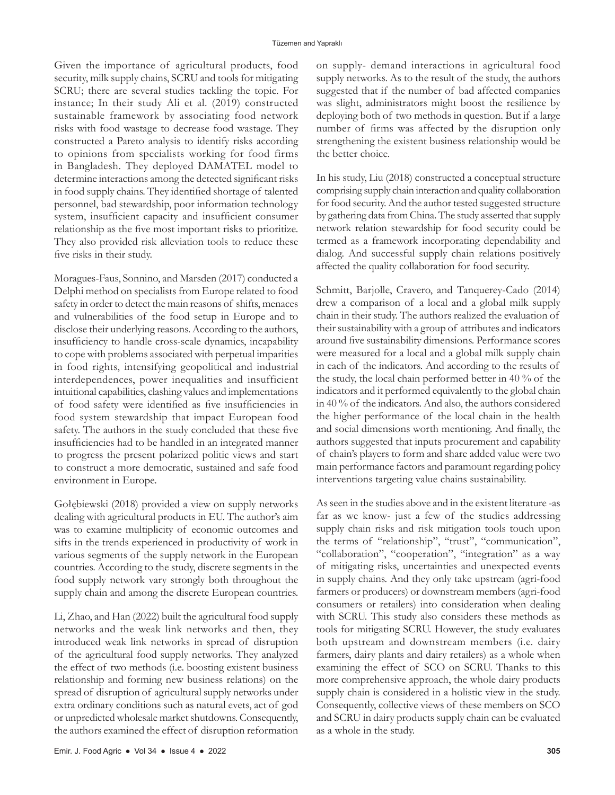Given the importance of agricultural products, food security, milk supply chains, SCRU and tools for mitigating SCRU; there are several studies tackling the topic. For instance; In their study Ali et al. (2019) constructed sustainable framework by associating food network risks with food wastage to decrease food wastage. They constructed a Pareto analysis to identify risks according to opinions from specialists working for food firms in Bangladesh. They deployed DAMATEL model to determine interactions among the detected significant risks in food supply chains. They identified shortage of talented personnel, bad stewardship, poor information technology system, insufficient capacity and insufficient consumer relationship as the five most important risks to prioritize. They also provided risk alleviation tools to reduce these five risks in their study.

Moragues-Faus, Sonnino, and Marsden (2017) conducted a Delphi method on specialists from Europe related to food safety in order to detect the main reasons of shifts, menaces and vulnerabilities of the food setup in Europe and to disclose their underlying reasons. According to the authors, insufficiency to handle cross-scale dynamics, incapability to cope with problems associated with perpetual imparities in food rights, intensifying geopolitical and industrial interdependences, power inequalities and insufficient intuitional capabilities, clashing values and implementations of food safety were identified as five insufficiencies in food system stewardship that impact European food safety. The authors in the study concluded that these five insufficiencies had to be handled in an integrated manner to progress the present polarized politic views and start to construct a more democratic, sustained and safe food environment in Europe.

Gołębiewski (2018) provided a view on supply networks dealing with agricultural products in EU. The author's aim was to examine multiplicity of economic outcomes and sifts in the trends experienced in productivity of work in various segments of the supply network in the European countries. According to the study, discrete segments in the food supply network vary strongly both throughout the supply chain and among the discrete European countries.

Li, Zhao, and Han (2022) built the agricultural food supply networks and the weak link networks and then, they introduced weak link networks in spread of disruption of the agricultural food supply networks. They analyzed the effect of two methods (i.e. boosting existent business relationship and forming new business relations) on the spread of disruption of agricultural supply networks under extra ordinary conditions such as natural evets, act of god or unpredicted wholesale market shutdowns. Consequently, the authors examined the effect of disruption reformation

on supply- demand interactions in agricultural food supply networks. As to the result of the study, the authors suggested that if the number of bad affected companies was slight, administrators might boost the resilience by deploying both of two methods in question. But if a large number of firms was affected by the disruption only strengthening the existent business relationship would be the better choice.

In his study, Liu (2018) constructed a conceptual structure comprising supply chain interaction and quality collaboration for food security. And the author tested suggested structure by gathering data from China. The study asserted that supply network relation stewardship for food security could be termed as a framework incorporating dependability and dialog. And successful supply chain relations positively affected the quality collaboration for food security.

Schmitt, Barjolle, Cravero, and Tanquerey-Cado (2014) drew a comparison of a local and a global milk supply chain in their study. The authors realized the evaluation of their sustainability with a group of attributes and indicators around five sustainability dimensions. Performance scores were measured for a local and a global milk supply chain in each of the indicators. And according to the results of the study, the local chain performed better in 40 % of the indicators and it performed equivalently to the global chain in 40 % of the indicators. And also, the authors considered the higher performance of the local chain in the health and social dimensions worth mentioning. And finally, the authors suggested that inputs procurement and capability of chain's players to form and share added value were two main performance factors and paramount regarding policy interventions targeting value chains sustainability.

As seen in the studies above and in the existent literature -as far as we know- just a few of the studies addressing supply chain risks and risk mitigation tools touch upon the terms of "relationship", "trust", "communication", "collaboration", "cooperation", "integration" as a way of mitigating risks, uncertainties and unexpected events in supply chains. And they only take upstream (agri-food farmers or producers) or downstream members (agri-food consumers or retailers) into consideration when dealing with SCRU. This study also considers these methods as tools for mitigating SCRU. However, the study evaluates both upstream and downstream members (i.e. dairy farmers, dairy plants and dairy retailers) as a whole when examining the effect of SCO on SCRU. Thanks to this more comprehensive approach, the whole dairy products supply chain is considered in a holistic view in the study. Consequently, collective views of these members on SCO and SCRU in dairy products supply chain can be evaluated as a whole in the study.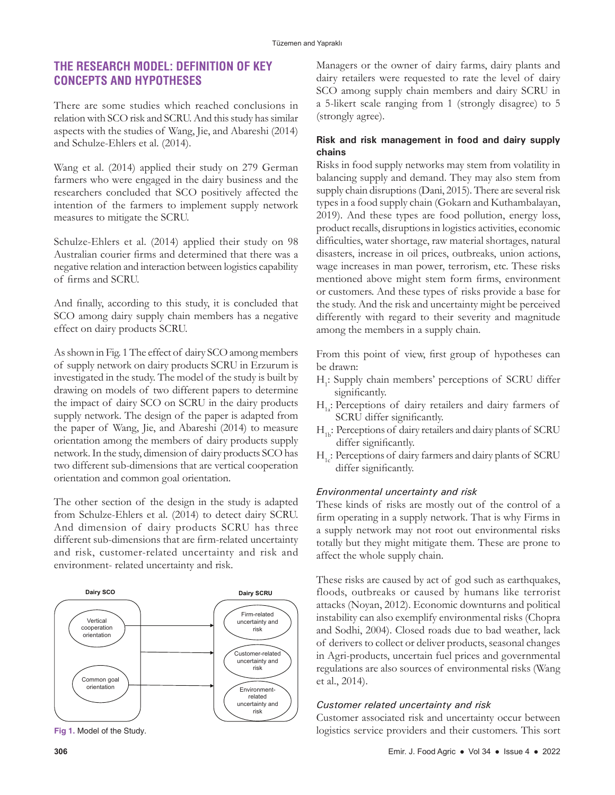# **THE RESEARCH MODEL: DEFINITION OF KEY CONCEPTS AND HYPOTHESES**

There are some studies which reached conclusions in relation with SCO risk and SCRU. And this study has similar aspects with the studies of Wang, Jie, and Abareshi (2014) and Schulze-Ehlers et al. (2014).

Wang et al. (2014) applied their study on 279 German farmers who were engaged in the dairy business and the researchers concluded that SCO positively affected the intention of the farmers to implement supply network measures to mitigate the SCRU.

Schulze-Ehlers et al. (2014) applied their study on 98 Australian courier firms and determined that there was a negative relation and interaction between logistics capability of firms and SCRU.

And finally, according to this study, it is concluded that SCO among dairy supply chain members has a negative effect on dairy products SCRU.

As shown in Fig. 1 The effect of dairy SCO among members of supply network on dairy products SCRU in Erzurum is investigated in the study. The model of the study is built by drawing on models of two different papers to determine the impact of dairy SCO on SCRU in the dairy products supply network. The design of the paper is adapted from the paper of Wang, Jie, and Abareshi (2014) to measure orientation among the members of dairy products supply network. In the study, dimension of dairy products SCO has two different sub-dimensions that are vertical cooperation orientation and common goal orientation.

The other section of the design in the study is adapted from Schulze-Ehlers et al. (2014) to detect dairy SCRU. And dimension of dairy products SCRU has three different sub-dimensions that are firm-related uncertainty and risk, customer-related uncertainty and risk and environment- related uncertainty and risk.



**Fig 1.** Model of the Study.

Managers or the owner of dairy farms, dairy plants and dairy retailers were requested to rate the level of dairy SCO among supply chain members and dairy SCRU in a 5-likert scale ranging from 1 (strongly disagree) to 5 (strongly agree).

# **Risk and risk management in food and dairy supply chains**

Risks in food supply networks may stem from volatility in balancing supply and demand. They may also stem from supply chain disruptions (Dani, 2015). There are several risk types in a food supply chain (Gokarn and Kuthambalayan, 2019). And these types are food pollution, energy loss, product recalls, disruptions in logistics activities, economic difficulties, water shortage, raw material shortages, natural disasters, increase in oil prices, outbreaks, union actions, wage increases in man power, terrorism, etc. These risks mentioned above might stem form firms, environment or customers. And these types of risks provide a base for the study. And the risk and uncertainty might be perceived differently with regard to their severity and magnitude among the members in a supply chain.

From this point of view, first group of hypotheses can be drawn:

- H<sub>1</sub>: Supply chain members' perceptions of SCRU differ significantly.
- H<sub>1</sub>: Perceptions of dairy retailers and dairy farmers of SCRU differ significantly.
- $H_{1b}$ : Perceptions of dairy retailers and dairy plants of SCRU differ significantly.
- $H<sub>1</sub>$ : Perceptions of dairy farmers and dairy plants of SCRU differ significantly.

# *Environmental uncertainty and risk*

These kinds of risks are mostly out of the control of a firm operating in a supply network. That is why Firms in a supply network may not root out environmental risks totally but they might mitigate them. These are prone to affect the whole supply chain.

These risks are caused by act of god such as earthquakes, floods, outbreaks or caused by humans like terrorist attacks (Noyan, 2012). Economic downturns and political instability can also exemplify environmental risks (Chopra and Sodhi, 2004). Closed roads due to bad weather, lack of derivers to collect or deliver products, seasonal changes in Agri-products, uncertain fuel prices and governmental regulations are also sources of environmental risks (Wang et al., 2014).

# *Customer related uncertainty and risk*

Customer associated risk and uncertainty occur between logistics service providers and their customers. This sort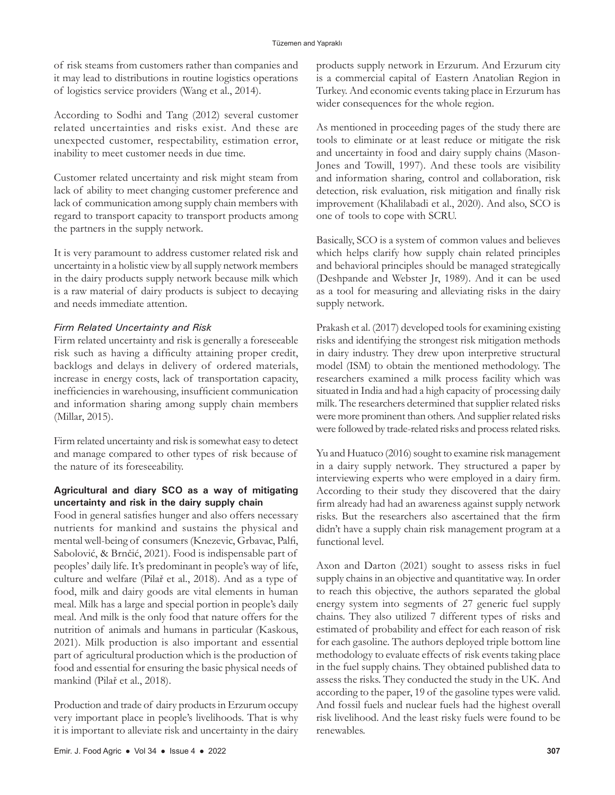of risk steams from customers rather than companies and it may lead to distributions in routine logistics operations of logistics service providers (Wang et al., 2014).

According to Sodhi and Tang (2012) several customer related uncertainties and risks exist. And these are unexpected customer, respectability, estimation error, inability to meet customer needs in due time.

Customer related uncertainty and risk might steam from lack of ability to meet changing customer preference and lack of communication among supply chain members with regard to transport capacity to transport products among the partners in the supply network.

It is very paramount to address customer related risk and uncertainty in a holistic view by all supply network members in the dairy products supply network because milk which is a raw material of dairy products is subject to decaying and needs immediate attention.

# *Firm Related Uncertainty and Risk*

Firm related uncertainty and risk is generally a foreseeable risk such as having a difficulty attaining proper credit, backlogs and delays in delivery of ordered materials, increase in energy costs, lack of transportation capacity, inefficiencies in warehousing, insufficient communication and information sharing among supply chain members (Millar, 2015).

Firm related uncertainty and risk is somewhat easy to detect and manage compared to other types of risk because of the nature of its foreseeability.

# **Agricultural and diary SCO as a way of mitigating uncertainty and risk in the dairy supply chain**

Food in general satisfies hunger and also offers necessary nutrients for mankind and sustains the physical and mental well-being of consumers (Knezevic, Grbavac, Palfi, Sabolović, & Brnčić, 2021). Food is indispensable part of peoples' daily life. It's predominant in people's way of life, culture and welfare (Pilař et al., 2018). And as a type of food, milk and dairy goods are vital elements in human meal. Milk has a large and special portion in people's daily meal. And milk is the only food that nature offers for the nutrition of animals and humans in particular (Kaskous, 2021). Milk production is also important and essential part of agricultural production which is the production of food and essential for ensuring the basic physical needs of mankind (Pilař et al., 2018).

Production and trade of dairy products in Erzurum occupy very important place in people's livelihoods. That is why it is important to alleviate risk and uncertainty in the dairy products supply network in Erzurum. And Erzurum city is a commercial capital of Eastern Anatolian Region in Turkey. And economic events taking place in Erzurum has wider consequences for the whole region.

As mentioned in proceeding pages of the study there are tools to eliminate or at least reduce or mitigate the risk and uncertainty in food and dairy supply chains (Mason-Jones and Towill, 1997). And these tools are visibility and information sharing, control and collaboration, risk detection, risk evaluation, risk mitigation and finally risk improvement (Khalilabadi et al., 2020). And also, SCO is one of tools to cope with SCRU.

Basically, SCO is a system of common values and believes which helps clarify how supply chain related principles and behavioral principles should be managed strategically (Deshpande and Webster Jr, 1989). And it can be used as a tool for measuring and alleviating risks in the dairy supply network.

Prakash et al. (2017) developed tools for examining existing risks and identifying the strongest risk mitigation methods in dairy industry. They drew upon interpretive structural model (ISM) to obtain the mentioned methodology. The researchers examined a milk process facility which was situated in India and had a high capacity of processing daily milk. The researchers determined that supplier related risks were more prominent than others. And supplier related risks were followed by trade-related risks and process related risks.

Yu and Huatuco (2016) sought to examine risk management in a dairy supply network. They structured a paper by interviewing experts who were employed in a dairy firm. According to their study they discovered that the dairy firm already had had an awareness against supply network risks. But the researchers also ascertained that the firm didn't have a supply chain risk management program at a functional level.

Axon and Darton (2021) sought to assess risks in fuel supply chains in an objective and quantitative way. In order to reach this objective, the authors separated the global energy system into segments of 27 generic fuel supply chains. They also utilized 7 different types of risks and estimated of probability and effect for each reason of risk for each gasoline. The authors deployed triple bottom line methodology to evaluate effects of risk events taking place in the fuel supply chains. They obtained published data to assess the risks. They conducted the study in the UK. And according to the paper, 19 of the gasoline types were valid. And fossil fuels and nuclear fuels had the highest overall risk livelihood. And the least risky fuels were found to be renewables.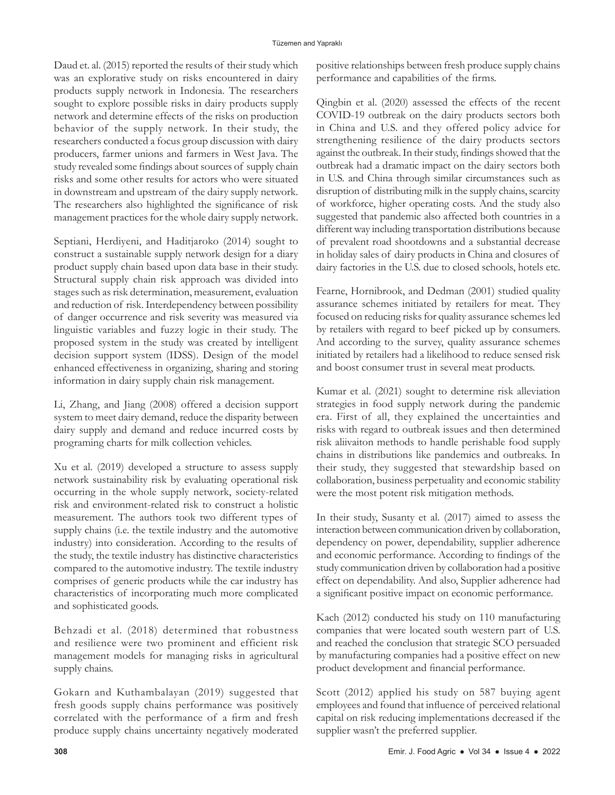Daud et. al. (2015) reported the results of their study which was an explorative study on risks encountered in dairy products supply network in Indonesia. The researchers sought to explore possible risks in dairy products supply network and determine effects of the risks on production behavior of the supply network. In their study, the researchers conducted a focus group discussion with dairy producers, farmer unions and farmers in West Java. The study revealed some findings about sources of supply chain risks and some other results for actors who were situated in downstream and upstream of the dairy supply network. The researchers also highlighted the significance of risk management practices for the whole dairy supply network.

Septiani, Herdiyeni, and Haditjaroko (2014) sought to construct a sustainable supply network design for a diary product supply chain based upon data base in their study. Structural supply chain risk approach was divided into stages such as risk determination, measurement, evaluation and reduction of risk. Interdependency between possibility of danger occurrence and risk severity was measured via linguistic variables and fuzzy logic in their study. The proposed system in the study was created by intelligent decision support system (IDSS). Design of the model enhanced effectiveness in organizing, sharing and storing information in dairy supply chain risk management.

Li, Zhang, and Jiang (2008) offered a decision support system to meet dairy demand, reduce the disparity between dairy supply and demand and reduce incurred costs by programing charts for milk collection vehicles.

Xu et al. (2019) developed a structure to assess supply network sustainability risk by evaluating operational risk occurring in the whole supply network, society-related risk and environment-related risk to construct a holistic measurement. The authors took two different types of supply chains (i.e. the textile industry and the automotive industry) into consideration. According to the results of the study, the textile industry has distinctive characteristics compared to the automotive industry. The textile industry comprises of generic products while the car industry has characteristics of incorporating much more complicated and sophisticated goods.

Behzadi et al. (2018) determined that robustness and resilience were two prominent and efficient risk management models for managing risks in agricultural supply chains.

Gokarn and Kuthambalayan (2019) suggested that fresh goods supply chains performance was positively correlated with the performance of a firm and fresh produce supply chains uncertainty negatively moderated

positive relationships between fresh produce supply chains performance and capabilities of the firms.

Qingbin et al. (2020) assessed the effects of the recent COVID-19 outbreak on the dairy products sectors both in China and U.S. and they offered policy advice for strengthening resilience of the dairy products sectors against the outbreak. In their study, findings showed that the outbreak had a dramatic impact on the dairy sectors both in U.S. and China through similar circumstances such as disruption of distributing milk in the supply chains, scarcity of workforce, higher operating costs. And the study also suggested that pandemic also affected both countries in a different way including transportation distributions because of prevalent road shootdowns and a substantial decrease in holiday sales of dairy products in China and closures of dairy factories in the U.S. due to closed schools, hotels etc.

Fearne, Hornibrook, and Dedman (2001) studied quality assurance schemes initiated by retailers for meat. They focused on reducing risks for quality assurance schemes led by retailers with regard to beef picked up by consumers. And according to the survey, quality assurance schemes initiated by retailers had a likelihood to reduce sensed risk and boost consumer trust in several meat products.

Kumar et al. (2021) sought to determine risk alleviation strategies in food supply network during the pandemic era. First of all, they explained the uncertainties and risks with regard to outbreak issues and then determined risk aliivaiton methods to handle perishable food supply chains in distributions like pandemics and outbreaks. In their study, they suggested that stewardship based on collaboration, business perpetuality and economic stability were the most potent risk mitigation methods.

In their study, Susanty et al. (2017) aimed to assess the interaction between communication driven by collaboration, dependency on power, dependability, supplier adherence and economic performance. According to findings of the study communication driven by collaboration had a positive effect on dependability. And also, Supplier adherence had a significant positive impact on economic performance.

Kach (2012) conducted his study on 110 manufacturing companies that were located south western part of U.S. and reached the conclusion that strategic SCO persuaded by manufacturing companies had a positive effect on new product development and financial performance.

Scott (2012) applied his study on 587 buying agent employees and found that influence of perceived relational capital on risk reducing implementations decreased if the supplier wasn't the preferred supplier.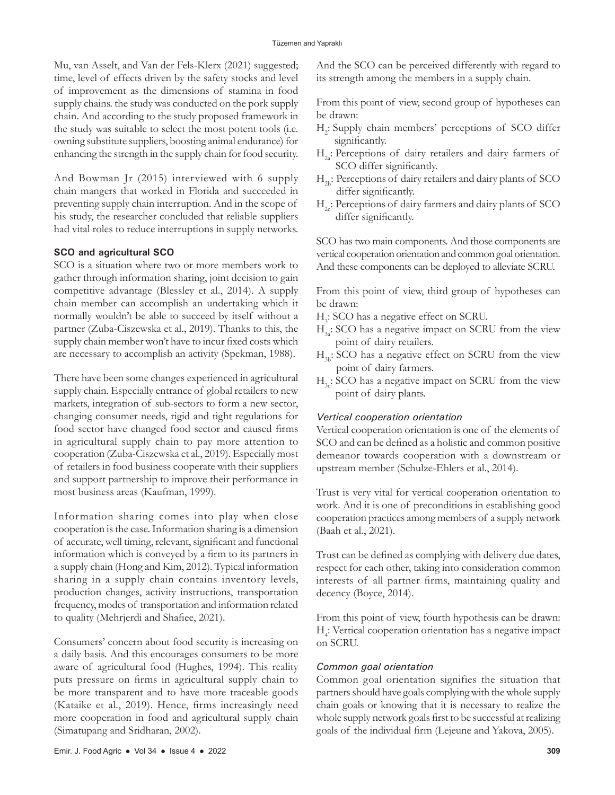Mu, van Asselt, and Van der Fels-Klerx (2021) suggested; time, level of effects driven by the safety stocks and level of improvement as the dimensions of stamina in food supply chains. the study was conducted on the pork supply chain. And according to the study proposed framework in the study was suitable to select the most potent tools (i.e. owning substitute suppliers, boosting animal endurance) for enhancing the strength in the supply chain for food security.

And Bowman Jr (2015) interviewed with 6 supply chain mangers that worked in Florida and succeeded in preventing supply chain interruption. And in the scope of his study, the researcher concluded that reliable suppliers had vital roles to reduce interruptions in supply networks.

## **SCO and agricultural SCO**

SCO is a situation where two or more members work to gather through information sharing, joint decision to gain competitive advantage (Blessley et al., 2014). A supply chain member can accomplish an undertaking which it normally wouldn't be able to succeed by itself without a partner (Zuba-Ciszewska et al., 2019). Thanks to this, the supply chain member won't have to incur fixed costs which are necessary to accomplish an activity (Spekman, 1988).

There have been some changes experienced in agricultural supply chain. Especially entrance of global retailers to new markets, integration of sub-sectors to form a new sector, changing consumer needs, rigid and tight regulations for food sector have changed food sector and caused firms in agricultural supply chain to pay more attention to cooperation (Zuba-Ciszewska et al., 2019). Especially most of retailers in food business cooperate with their suppliers and support partnership to improve their performance in most business areas (Kaufman, 1999).

Information sharing comes into play when close cooperation is the case. Information sharing is a dimension of accurate, well timing, relevant, significant and functional information which is conveyed by a firm to its partners in a supply chain (Hong and Kim, 2012). Typical information sharing in a supply chain contains inventory levels, production changes, activity instructions, transportation frequency, modes of transportation and information related to quality (Mehrjerdi and Shafiee, 2021).

Consumers' concern about food security is increasing on a daily basis. And this encourages consumers to be more aware of agricultural food (Hughes, 1994). This reality puts pressure on firms in agricultural supply chain to be more transparent and to have more traceable goods (Kataike et al., 2019). Hence, firms increasingly need more cooperation in food and agricultural supply chain (Simatupang and Sridharan, 2002).

And the SCO can be perceived differently with regard to its strength among the members in a supply chain.

From this point of view, second group of hypotheses can be drawn:

- H2 : Supply chain members' perceptions of SCO differ significantly.
- $H<sub>2</sub>$ : Perceptions of dairy retailers and dairy farmers of SCO differ significantly.
- $H<sub>2</sub>$ : Perceptions of dairy retailers and dairy plants of SCO differ significantly.
- $H_2$ : Perceptions of dairy farmers and dairy plants of SCO differ significantly.

SCO has two main components. And those components are vertical cooperation orientation and common goal orientation. And these components can be deployed to alleviate SCRU.

From this point of view, third group of hypotheses can be drawn:

- H<sub>3</sub>: SCO has a negative effect on SCRU.
- $H<sub>3</sub>$ : SCO has a negative impact on SCRU from the view point of dairy retailers.
- $H<sub>2</sub>$ : SCO has a negative effect on SCRU from the view point of dairy farmers.
- $H<sub>3c</sub>$ : SCO has a negative impact on SCRU from the view point of dairy plants.

### *Vertical cooperation orientation*

Vertical cooperation orientation is one of the elements of SCO and can be defined as a holistic and common positive demeanor towards cooperation with a downstream or upstream member (Schulze-Ehlers et al., 2014).

Trust is very vital for vertical cooperation orientation to work. And it is one of preconditions in establishing good cooperation practices among members of a supply network (Baah et al., 2021).

Trust can be defined as complying with delivery due dates, respect for each other, taking into consideration common interests of all partner firms, maintaining quality and decency (Boyce, 2014).

From this point of view, fourth hypothesis can be drawn: H4 : Vertical cooperation orientation has a negative impact on SCRU.

### *Common goal orientation*

Common goal orientation signifies the situation that partners should have goals complying with the whole supply chain goals or knowing that it is necessary to realize the whole supply network goals first to be successful at realizing goals of the individual firm (Lejeune and Yakova, 2005).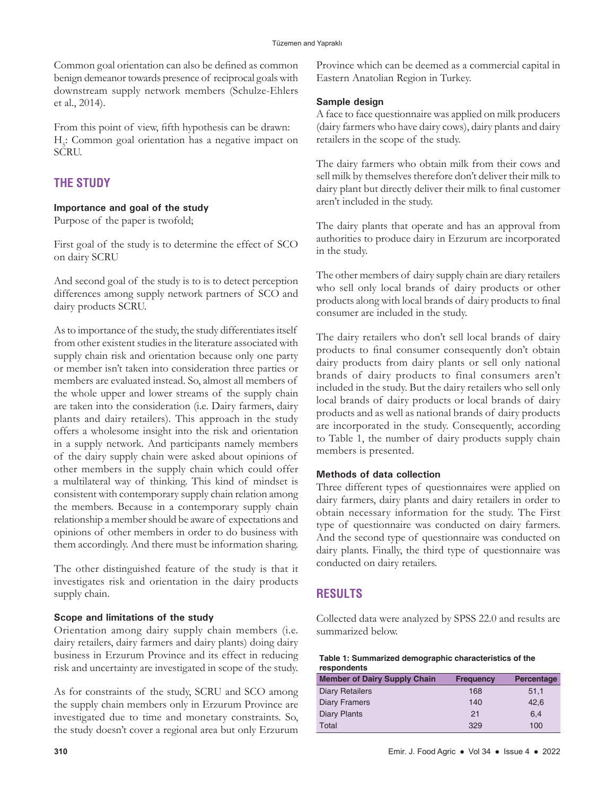Common goal orientation can also be defined as common benign demeanor towards presence of reciprocal goals with downstream supply network members (Schulze-Ehlers et al., 2014).

From this point of view, fifth hypothesis can be drawn: H<sub>5</sub>: Common goal orientation has a negative impact on SCRU.

# **THE STUDY**

# **Importance and goal of the study**

Purpose of the paper is twofold;

First goal of the study is to determine the effect of SCO on dairy SCRU

And second goal of the study is to is to detect perception differences among supply network partners of SCO and dairy products SCRU.

As to importance of the study, the study differentiates itself from other existent studies in the literature associated with supply chain risk and orientation because only one party or member isn't taken into consideration three parties or members are evaluated instead. So, almost all members of the whole upper and lower streams of the supply chain are taken into the consideration (i.e. Dairy farmers, dairy plants and dairy retailers). This approach in the study offers a wholesome insight into the risk and orientation in a supply network. And participants namely members of the dairy supply chain were asked about opinions of other members in the supply chain which could offer a multilateral way of thinking. This kind of mindset is consistent with contemporary supply chain relation among the members. Because in a contemporary supply chain relationship a member should be aware of expectations and opinions of other members in order to do business with them accordingly. And there must be information sharing.

The other distinguished feature of the study is that it investigates risk and orientation in the dairy products supply chain.

# **Scope and limitations of the study**

Orientation among dairy supply chain members (i.e. dairy retailers, dairy farmers and dairy plants) doing dairy business in Erzurum Province and its effect in reducing risk and uncertainty are investigated in scope of the study.

As for constraints of the study, SCRU and SCO among the supply chain members only in Erzurum Province are investigated due to time and monetary constraints. So, the study doesn't cover a regional area but only Erzurum

Province which can be deemed as a commercial capital in Eastern Anatolian Region in Turkey.

# **Sample design**

A face to face questionnaire was applied on milk producers (dairy farmers who have dairy cows), dairy plants and dairy retailers in the scope of the study.

The dairy farmers who obtain milk from their cows and sell milk by themselves therefore don't deliver their milk to dairy plant but directly deliver their milk to final customer aren't included in the study.

The dairy plants that operate and has an approval from authorities to produce dairy in Erzurum are incorporated in the study.

The other members of dairy supply chain are diary retailers who sell only local brands of dairy products or other products along with local brands of dairy products to final consumer are included in the study.

The dairy retailers who don't sell local brands of dairy products to final consumer consequently don't obtain dairy products from dairy plants or sell only national brands of dairy products to final consumers aren't included in the study. But the dairy retailers who sell only local brands of dairy products or local brands of dairy products and as well as national brands of dairy products are incorporated in the study. Consequently, according to Table 1, the number of dairy products supply chain members is presented.

# **Methods of data collection**

Three different types of questionnaires were applied on dairy farmers, dairy plants and dairy retailers in order to obtain necessary information for the study. The First type of questionnaire was conducted on dairy farmers. And the second type of questionnaire was conducted on dairy plants. Finally, the third type of questionnaire was conducted on dairy retailers.

# **RESULTS**

Collected data were analyzed by SPSS 22.0 and results are summarized below.

| Table 1: Summarized demographic characteristics of the |
|--------------------------------------------------------|
| respondents                                            |

| <b>Member of Dairy Supply Chain</b> | <b>Frequency</b> | Percentage |
|-------------------------------------|------------------|------------|
| <b>Diary Retailers</b>              | 168              | 51,1       |
| Diary Framers                       | 140              | 42.6       |
| Diary Plants                        | 21               | 6.4        |
| Total                               | 329              | 100        |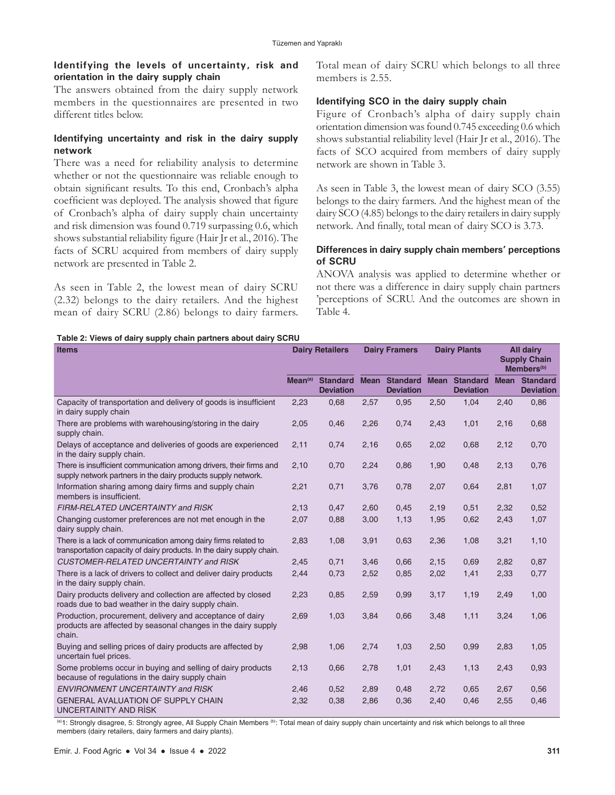# **Identifying the levels of uncertainty, risk and orientation in the dairy supply chain**

The answers obtained from the dairy supply network members in the questionnaires are presented in two different titles below.

# **Identifying uncertainty and risk in the dairy supply network**

There was a need for reliability analysis to determine whether or not the questionnaire was reliable enough to obtain significant results. To this end, Cronbach's alpha coefficient was deployed. The analysis showed that figure of Cronbach's alpha of dairy supply chain uncertainty and risk dimension was found 0.719 surpassing 0.6, which shows substantial reliability figure (Hair Jr et al., 2016). The facts of SCRU acquired from members of dairy supply network are presented in Table 2.

As seen in Table 2, the lowest mean of dairy SCRU (2.32) belongs to the dairy retailers. And the highest mean of dairy SCRU (2.86) belongs to dairy farmers. Total mean of dairy SCRU which belongs to all three members is 2.55.

# **Identifying SCO in the dairy supply chain**

Figure of Cronbach's alpha of dairy supply chain orientation dimension was found 0.745 exceeding 0.6 which shows substantial reliability level (Hair Jr et al., 2016). The facts of SCO acquired from members of dairy supply network are shown in Table 3.

As seen in Table 3, the lowest mean of dairy SCO (3.55) belongs to the dairy farmers. And the highest mean of the dairy SCO (4.85) belongs to the dairy retailers in dairy supply network. And finally, total mean of dairy SCO is 3.73.

# **Differences in dairy supply chain members' perceptions of SCRU**

ANOVA analysis was applied to determine whether or not there was a difference in dairy supply chain partners 'perceptions of SCRU. And the outcomes are shown in Table 4.

#### **Table 2: Views of dairy supply chain partners about dairy SCRU**

| <b>Items</b>                                                                                                                           | <b>Dairy Retailers</b> |                                     | <b>Dairy Framers</b> |                                          | <b>Dairy Plants</b> |                                          | <b>All dairy</b><br><b>Supply Chain</b><br>Members <sup>(b)</sup> |                                          |
|----------------------------------------------------------------------------------------------------------------------------------------|------------------------|-------------------------------------|----------------------|------------------------------------------|---------------------|------------------------------------------|-------------------------------------------------------------------|------------------------------------------|
|                                                                                                                                        | Mean <sup>(a)</sup>    | <b>Standard</b><br><b>Deviation</b> |                      | <b>Mean Standard</b><br><b>Deviation</b> |                     | <b>Mean Standard</b><br><b>Deviation</b> |                                                                   | <b>Mean Standard</b><br><b>Deviation</b> |
| Capacity of transportation and delivery of goods is insufficient<br>in dairy supply chain                                              | 2,23                   | 0,68                                | 2,57                 | 0,95                                     | 2,50                | 1,04                                     | 2,40                                                              | 0,86                                     |
| There are problems with warehousing/storing in the dairy<br>supply chain.                                                              | 2,05                   | 0,46                                | 2,26                 | 0,74                                     | 2,43                | 1,01                                     | 2,16                                                              | 0,68                                     |
| Delays of acceptance and deliveries of goods are experienced<br>in the dairy supply chain.                                             | 2,11                   | 0,74                                | 2,16                 | 0,65                                     | 2,02                | 0,68                                     | 2,12                                                              | 0,70                                     |
| There is insufficient communication among drivers, their firms and<br>supply network partners in the dairy products supply network.    | 2,10                   | 0,70                                | 2,24                 | 0,86                                     | 1,90                | 0,48                                     | 2,13                                                              | 0,76                                     |
| Information sharing among dairy firms and supply chain<br>members is insufficient.                                                     | 2,21                   | 0,71                                | 3,76                 | 0,78                                     | 2,07                | 0,64                                     | 2,81                                                              | 1,07                                     |
| FIRM-RELATED UNCERTAINTY and RISK                                                                                                      | 2,13                   | 0,47                                | 2,60                 | 0,45                                     | 2,19                | 0,51                                     | 2,32                                                              | 0,52                                     |
| Changing customer preferences are not met enough in the<br>dairy supply chain.                                                         | 2,07                   | 0,88                                | 3,00                 | 1,13                                     | 1,95                | 0,62                                     | 2,43                                                              | 1,07                                     |
| There is a lack of communication among dairy firms related to<br>transportation capacity of dairy products. In the dairy supply chain. | 2,83                   | 1,08                                | 3,91                 | 0,63                                     | 2,36                | 1,08                                     | 3,21                                                              | 1,10                                     |
| <b>CUSTOMER-RELATED UNCERTAINTY and RISK</b>                                                                                           | 2,45                   | 0,71                                | 3,46                 | 0,66                                     | 2,15                | 0,69                                     | 2,82                                                              | 0,87                                     |
| There is a lack of drivers to collect and deliver dairy products<br>in the dairy supply chain.                                         | 2,44                   | 0,73                                | 2,52                 | 0,85                                     | 2,02                | 1,41                                     | 2,33                                                              | 0,77                                     |
| Dairy products delivery and collection are affected by closed<br>roads due to bad weather in the dairy supply chain.                   | 2,23                   | 0,85                                | 2,59                 | 0,99                                     | 3,17                | 1,19                                     | 2,49                                                              | 1,00                                     |
| Production, procurement, delivery and acceptance of dairy<br>products are affected by seasonal changes in the dairy supply<br>chain.   | 2,69                   | 1,03                                | 3,84                 | 0,66                                     | 3,48                | 1,11                                     | 3,24                                                              | 1,06                                     |
| Buying and selling prices of dairy products are affected by<br>uncertain fuel prices.                                                  | 2,98                   | 1,06                                | 2,74                 | 1,03                                     | 2,50                | 0,99                                     | 2,83                                                              | 1,05                                     |
| Some problems occur in buying and selling of dairy products<br>because of regulations in the dairy supply chain                        | 2,13                   | 0,66                                | 2,78                 | 1,01                                     | 2,43                | 1,13                                     | 2,43                                                              | 0,93                                     |
| <b>ENVIRONMENT UNCERTAINTY and RISK</b>                                                                                                | 2,46                   | 0,52                                | 2,89                 | 0,48                                     | 2,72                | 0,65                                     | 2,67                                                              | 0,56                                     |
| <b>GENERAL AVALUATION OF SUPPLY CHAIN</b><br>UNCERTAINITY AND RISK                                                                     | 2,32                   | 0,38                                | 2,86                 | 0,36                                     | 2,40                | 0,46                                     | 2,55                                                              | 0,46                                     |

(a)1: Strongly disagree, 5: Strongly agree, All Supply Chain Members (b): Total mean of dairy supply chain uncertainty and risk which belongs to all three members (dairy retailers, dairy farmers and dairy plants).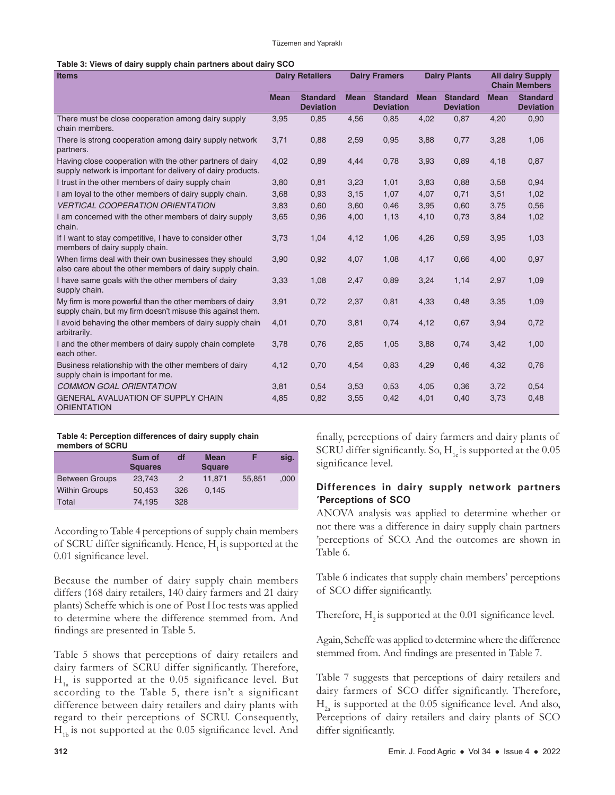| Table 3: Views of dairy supply chain partners about dairy SCO |  |  |  |  |  |  |
|---------------------------------------------------------------|--|--|--|--|--|--|
|---------------------------------------------------------------|--|--|--|--|--|--|

| <b>Items</b>                                                                                                             |             | <b>Dairy Retailers</b><br><b>Dairy Framers</b> |             |                                     | <b>Dairy Plants</b> | <b>All dairy Supply</b><br><b>Chain Members</b> |             |                                     |
|--------------------------------------------------------------------------------------------------------------------------|-------------|------------------------------------------------|-------------|-------------------------------------|---------------------|-------------------------------------------------|-------------|-------------------------------------|
|                                                                                                                          | <b>Mean</b> | <b>Standard</b><br><b>Deviation</b>            | <b>Mean</b> | <b>Standard</b><br><b>Deviation</b> | <b>Mean</b>         | <b>Standard</b><br><b>Deviation</b>             | <b>Mean</b> | <b>Standard</b><br><b>Deviation</b> |
| There must be close cooperation among dairy supply<br>chain members.                                                     | 3,95        | 0,85                                           | 4,56        | 0,85                                | 4,02                | 0,87                                            | 4,20        | 0,90                                |
| There is strong cooperation among dairy supply network<br>partners.                                                      | 3,71        | 0,88                                           | 2,59        | 0,95                                | 3,88                | 0,77                                            | 3,28        | 1,06                                |
| Having close cooperation with the other partners of dairy<br>supply network is important for delivery of dairy products. | 4,02        | 0,89                                           | 4,44        | 0,78                                | 3,93                | 0,89                                            | 4,18        | 0,87                                |
| I trust in the other members of dairy supply chain                                                                       | 3,80        | 0,81                                           | 3,23        | 1,01                                | 3,83                | 0,88                                            | 3,58        | 0,94                                |
| I am loyal to the other members of dairy supply chain.                                                                   | 3,68        | 0,93                                           | 3,15        | 1,07                                | 4,07                | 0,71                                            | 3,51        | 1,02                                |
| <b>VERTICAL COOPERATION ORIENTATION</b>                                                                                  | 3,83        | 0,60                                           | 3,60        | 0,46                                | 3,95                | 0,60                                            | 3,75        | 0,56                                |
| I am concerned with the other members of dairy supply<br>chain.                                                          | 3,65        | 0,96                                           | 4,00        | 1,13                                | 4,10                | 0,73                                            | 3,84        | 1,02                                |
| If I want to stay competitive, I have to consider other<br>members of dairy supply chain.                                | 3,73        | 1,04                                           | 4,12        | 1,06                                | 4,26                | 0,59                                            | 3,95        | 1,03                                |
| When firms deal with their own businesses they should<br>also care about the other members of dairy supply chain.        | 3,90        | 0,92                                           | 4,07        | 1,08                                | 4,17                | 0,66                                            | 4,00        | 0,97                                |
| I have same goals with the other members of dairy<br>supply chain.                                                       | 3,33        | 1,08                                           | 2,47        | 0,89                                | 3,24                | 1,14                                            | 2,97        | 1,09                                |
| My firm is more powerful than the other members of dairy<br>supply chain, but my firm doesn't misuse this against them.  | 3,91        | 0,72                                           | 2,37        | 0,81                                | 4,33                | 0,48                                            | 3,35        | 1,09                                |
| I avoid behaving the other members of dairy supply chain<br>arbitrarily.                                                 | 4,01        | 0,70                                           | 3,81        | 0,74                                | 4,12                | 0,67                                            | 3,94        | 0,72                                |
| I and the other members of dairy supply chain complete<br>each other.                                                    | 3,78        | 0,76                                           | 2,85        | 1,05                                | 3,88                | 0,74                                            | 3,42        | 1,00                                |
| Business relationship with the other members of dairy<br>supply chain is important for me.                               | 4,12        | 0,70                                           | 4,54        | 0,83                                | 4,29                | 0,46                                            | 4,32        | 0,76                                |
| <b>COMMON GOAL ORIENTATION</b>                                                                                           | 3,81        | 0,54                                           | 3,53        | 0,53                                | 4,05                | 0,36                                            | 3,72        | 0,54                                |
| <b>GENERAL AVALUATION OF SUPPLY CHAIN</b><br><b>ORIENTATION</b>                                                          | 4,85        | 0,82                                           | 3,55        | 0,42                                | 4,01                | 0,40                                            | 3,73        | 0,48                                |

#### **Table 4: Perception differences of dairy supply chain members of SCRU**

|                       | Sum of         | df  | <b>Mean</b>   |        | sig. |
|-----------------------|----------------|-----|---------------|--------|------|
|                       | <b>Squares</b> |     | <b>Square</b> |        |      |
| <b>Between Groups</b> | 23.743         | 2   | 11.871        | 55.851 | .000 |
| <b>Within Groups</b>  | 50.453         | 326 | 0.145         |        |      |
| Total                 | 74.195         | 328 |               |        |      |

According to Table 4 perceptions of supply chain members of SCRU differ significantly. Hence,  $H<sub>1</sub>$  is supported at the 0.01 significance level.

Because the number of dairy supply chain members differs (168 dairy retailers, 140 dairy farmers and 21 dairy plants) Scheffe which is one of Post Hoc tests was applied to determine where the difference stemmed from. And findings are presented in Table 5.

Table 5 shows that perceptions of dairy retailers and dairy farmers of SCRU differ significantly. Therefore,  $H<sub>1a</sub>$  is supported at the 0.05 significance level. But according to the Table 5, there isn't a significant difference between dairy retailers and dairy plants with regard to their perceptions of SCRU. Consequently,  $H<sub>th</sub>$  is not supported at the 0.05 significance level. And

finally, perceptions of dairy farmers and dairy plants of SCRU differ significantly. So,  $H<sub>1c</sub>$  is supported at the 0.05 significance level.

# **Differences in dairy supply network partners 'Perceptions of SCO**

ANOVA analysis was applied to determine whether or not there was a difference in dairy supply chain partners 'perceptions of SCO. And the outcomes are shown in Table 6.

Table 6 indicates that supply chain members' perceptions of SCO differ significantly.

Therefore,  $H<sub>2</sub>$  is supported at the 0.01 significance level.

Again, Scheffe was applied to determine where the difference stemmed from. And findings are presented in Table 7.

Table 7 suggests that perceptions of dairy retailers and dairy farmers of SCO differ significantly. Therefore,  $H<sub>2a</sub>$  is supported at the 0.05 significance level. And also, Perceptions of dairy retailers and dairy plants of SCO differ significantly.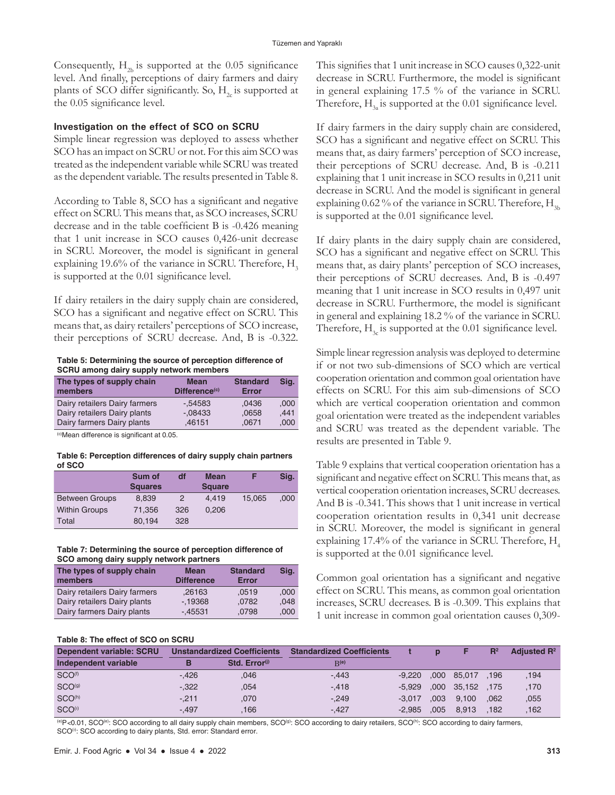Consequently,  $H_{2b}$  is supported at the 0.05 significance level. And finally, perceptions of dairy farmers and dairy plants of SCO differ significantly. So,  $H<sub>2</sub>$  is supported at the 0.05 significance level.

#### **Investigation on the effect of SCO on SCRU**

Simple linear regression was deployed to assess whether SCO has an impact on SCRU or not. For this aim SCO was treated as the independent variable while SCRU was treated as the dependent variable. The results presented in Table 8.

According to Table 8, SCO has a significant and negative effect on SCRU. This means that, as SCO increases, SCRU decrease and in the table coefficient B is -0.426 meaning that 1 unit increase in SCO causes 0,426-unit decrease in SCRU. Moreover, the model is significant in general explaining 19.6% of the variance in SCRU. Therefore,  $H<sub>3</sub>$ is supported at the 0.01 significance level.

If dairy retailers in the dairy supply chain are considered, SCO has a significant and negative effect on SCRU. This means that, as dairy retailers' perceptions of SCO increase, their perceptions of SCRU decrease. And, B is -0.322.

**Table 5: Determining the source of perception difference of SCRU among dairy supply network members**

| The types of supply chain<br>members | <b>Mean</b><br>Difference <sup>(c)</sup> | <b>Standard</b><br><b>Error</b> | Sig. |
|--------------------------------------|------------------------------------------|---------------------------------|------|
| Dairy retailers Dairy farmers        | $-0.54583$                               | .0436                           | .000 |
| Dairy retailers Dairy plants         | $-08433$                                 | .0658                           | .441 |
| Dairy farmers Dairy plants           | .46151                                   | .0671                           | .000 |

(c)Mean difference is significant at 0.05.

#### **Table 6: Perception differences of dairy supply chain partners of SCO**

|                       | Sum of         | df            | Mean          |        | Sig. |
|-----------------------|----------------|---------------|---------------|--------|------|
|                       | <b>Squares</b> |               | <b>Square</b> |        |      |
| <b>Between Groups</b> | 8.839          | $\mathcal{P}$ | 4.419         | 15.065 | .000 |
| <b>Within Groups</b>  | 71.356         | 326           | 0.206         |        |      |
| Total                 | 80.194         | 328           |               |        |      |

#### **Table 7: Determining the source of perception difference of SCO among dairy supply network partners**

| The types of supply chain<br>members | <b>Mean</b><br><b>Difference</b> | <b>Standard</b><br><b>Error</b> | Sig. |
|--------------------------------------|----------------------------------|---------------------------------|------|
| Dairy retailers Dairy farmers        | .26163                           | .0519                           | .000 |
| Dairy retailers Dairy plants         | $-19368$                         | .0782                           | .048 |
| Dairy farmers Dairy plants           | $-.45531$                        | .0798                           | .000 |

### **Table 8: The effect of SCO on SCRU**

This signifies that 1 unit increase in SCO causes 0,322-unit decrease in SCRU. Furthermore, the model is significant in general explaining 17.5 % of the variance in SCRU. Therefore,  $H<sub>3a</sub>$  is supported at the 0.01 significance level.

If dairy farmers in the dairy supply chain are considered, SCO has a significant and negative effect on SCRU. This means that, as dairy farmers' perception of SCO increase, their perceptions of SCRU decrease. And, B is -0.211 explaining that 1 unit increase in SCO results in 0,211 unit decrease in SCRU. And the model is significant in general explaining  $0.62\%$  of the variance in SCRU. Therefore,  $H_{3b}$ is supported at the 0.01 significance level.

If dairy plants in the dairy supply chain are considered, SCO has a significant and negative effect on SCRU. This means that, as dairy plants' perception of SCO increases, their perceptions of SCRU decreases. And, B is -0.497 meaning that 1 unit increase in SCO results in 0,497 unit decrease in SCRU. Furthermore, the model is significant in general and explaining 18.2 % of the variance in SCRU. Therefore,  $H<sub>2</sub>$  is supported at the 0.01 significance level.

Simple linear regression analysis was deployed to determine if or not two sub-dimensions of SCO which are vertical cooperation orientation and common goal orientation have effects on SCRU. For this aim sub-dimensions of SCO which are vertical cooperation orientation and common goal orientation were treated as the independent variables and SCRU was treated as the dependent variable. The results are presented in Table 9.

Table 9 explains that vertical cooperation orientation has a significant and negative effect on SCRU. This means that, as vertical cooperation orientation increases, SCRU decreases. And B is -0.341. This shows that 1 unit increase in vertical cooperation orientation results in 0,341 unit decrease in SCRU. Moreover, the model is significant in general explaining 17.4% of the variance in SCRU. Therefore,  $H<sub>4</sub>$ is supported at the 0.01 significance level.

Common goal orientation has a significant and negative effect on SCRU. This means, as common goal orientation increases, SCRU decreases. B is -0.309. This explains that 1 unit increase in common goal orientation causes 0,309-

| Table 6. The effect of SCO on SCRO |                             |                           |                                  |          |      |             |       |                |
|------------------------------------|-----------------------------|---------------------------|----------------------------------|----------|------|-------------|-------|----------------|
| Dependent variable: SCRU           | Unstandardized Coefficients |                           | <b>Standardized Coefficients</b> |          |      |             | $R^2$ | Adjusted $R^2$ |
| Independent variable               |                             | Std. Error <sup>(j)</sup> | R(e)                             |          |      |             |       |                |
| SCO <sup>(f)</sup>                 | $-.426$                     | .046                      | $-.443$                          | $-9.220$ |      | ,000 85,017 | .196  | .194           |
| SCO <sup>(g)</sup>                 | $-.322$                     | ,054                      | $-.418$                          | $-5.929$ | .000 | 35.152      | .175  | ,170           |
| SCO <sup>(h)</sup>                 | $-211$                      | .070                      | $-249$                           | $-3.017$ | .003 | 9.100       | .062  | .055           |
| SCO <sup>(i)</sup>                 | $-.497$                     | .166                      | $-.427$                          | $-2.985$ | .005 | 8.913       | .182  | .162           |

(e)P<0.01, SCO<sup>(e)</sup>: SCO according to all dairy supply chain members, SCO<sup>(a)</sup>: SCO according to dairy retailers, SCO<sup>(h)</sup>: SCO according to dairy farmers, SCO<sup>(i)</sup>: SCO according to dairy plants, Std. error: Standard error.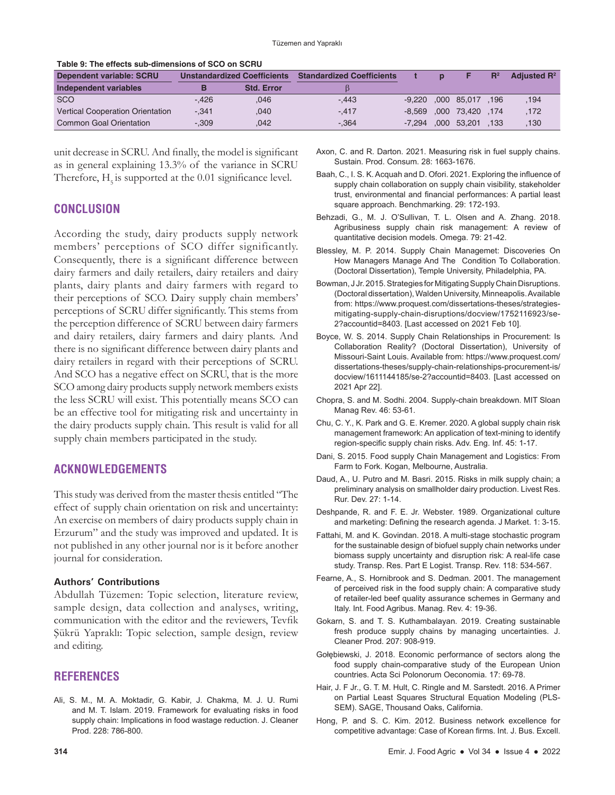| <u> TADIC 9. THE CHECLS SUD-UNITENSIONS OF SUO ON SUITU</u> |         |                                    |                                  |              |                            |       |                |
|-------------------------------------------------------------|---------|------------------------------------|----------------------------------|--------------|----------------------------|-------|----------------|
| Dependent variable: SCRU                                    |         | <b>Unstandardized Coefficients</b> | <b>Standardized Coefficients</b> | $\mathbf{D}$ |                            | $R^2$ | Adiusted $R^2$ |
| Independent variables                                       |         | <b>Std. Error</b>                  |                                  |              |                            |       |                |
| SCO                                                         | $-.426$ | .046                               | $-.443$                          |              | $-9,220$ , 000 85,017, 196 |       | .194           |
| <b>Vertical Cooperation Orientation</b>                     | $-.341$ | .040                               | $-.417$                          |              | -8.569 .000 73.420 .174    |       | .172           |
| <b>Common Goal Orientation</b>                              | $-.309$ | .042                               | $-.364$                          |              | -7,294 ,000 53,201         | .133  | 130            |

**Table 9: The effects sub-dimensions of SCO on SCRU**

unit decrease in SCRU. And finally, the model is significant as in general explaining 13.3% of the variance in SCRU Therefore,  $H<sub>5</sub>$  is supported at the 0.01 significance level.

# **CONCLUSION**

According the study, dairy products supply network members' perceptions of SCO differ significantly. Consequently, there is a significant difference between dairy farmers and daily retailers, dairy retailers and dairy plants, dairy plants and dairy farmers with regard to their perceptions of SCO. Dairy supply chain members' perceptions of SCRU differ significantly. This stems from the perception difference of SCRU between dairy farmers and dairy retailers, dairy farmers and dairy plants. And there is no significant difference between dairy plants and dairy retailers in regard with their perceptions of SCRU. And SCO has a negative effect on SCRU, that is the more SCO among dairy products supply network members exists the less SCRU will exist. This potentially means SCO can be an effective tool for mitigating risk and uncertainty in the dairy products supply chain. This result is valid for all supply chain members participated in the study.

# **ACKNOWLEDGEMENTS**

This study was derived from the master thesis entitled "The effect of supply chain orientation on risk and uncertainty: An exercise on members of dairy products supply chain in Erzurum" and the study was improved and updated. It is not published in any other journal nor is it before another journal for consideration.

## **Authors' Contributions**

Abdullah Tüzemen: Topic selection, literature review, sample design, data collection and analyses, writing, communication with the editor and the reviewers, Tevfik Şükrü Yapraklı: Topic selection, sample design, review and editing.

# **REFERENCES**

Ali, S. M., M. A. Moktadir, G. Kabir, J. Chakma, M. J. U. Rumi and M. T. Islam. 2019. Framework for evaluating risks in food supply chain: Implications in food wastage reduction. J. Cleaner Prod. 228: 786-800.

- Axon, C. and R. Darton. 2021. Measuring risk in fuel supply chains. Sustain. Prod. Consum. 28: 1663-1676.
- Baah, C., I. S. K. Acquah and D. Ofori. 2021. Exploring the influence of supply chain collaboration on supply chain visibility, stakeholder trust, environmental and financial performances: A partial least square approach. Benchmarking. 29: 172-193.
- Behzadi, G., M. J. O'Sullivan, T. L. Olsen and A. Zhang. 2018. Agribusiness supply chain risk management: A review of quantitative decision models. Omega. 79: 21-42.
- Blessley, M. P. 2014. Supply Chain Managemet: Discoveries On How Managers Manage And The Condition To Collaboration. (Doctoral Dissertation), Temple University, Philadelphia, PA.
- Bowman, J Jr. 2015. Strategies for Mitigating Supply Chain Disruptions. (Doctoral dissertation), Walden University, Minneapolis. Available from: https://www.proquest.com/dissertations-theses/strategiesmitigating-supply-chain-disruptions/docview/1752116923/se-2?accountid=8403. [Last accessed on 2021 Feb 10].
- Boyce, W. S. 2014. Supply Chain Relationships in Procurement: Is Collaboration Reality? (Doctoral Dissertation), University of Missouri-Saint Louis. Available from: https://www.proquest.com/ dissertations-theses/supply-chain-relationships-procurement-is/ docview/1611144185/se-2?accountid=8403. [Last accessed on 2021 Apr 22].
- Chopra, S. and M. Sodhi. 2004. Supply-chain breakdown. MIT Sloan Manag Rev. 46: 53-61.
- Chu, C. Y., K. Park and G. E. Kremer. 2020. A global supply chain risk management framework: An application of text-mining to identify region-specific supply chain risks. Adv. Eng. Inf. 45: 1-17.
- Dani, S. 2015. Food supply Chain Management and Logistics: From Farm to Fork. Kogan, Melbourne, Australia.
- Daud, A., U. Putro and M. Basri. 2015. Risks in milk supply chain; a preliminary analysis on smallholder dairy production. Livest Res. Rur. Dev. 27: 1-14.
- Deshpande, R. and F. E. Jr. Webster. 1989. Organizational culture and marketing: Defining the research agenda. J Market. 1: 3-15.
- Fattahi, M. and K. Govindan. 2018. A multi-stage stochastic program for the sustainable design of biofuel supply chain networks under biomass supply uncertainty and disruption risk: A real-life case study. Transp. Res. Part E Logist. Transp. Rev. 118: 534-567.
- Fearne, A., S. Hornibrook and S. Dedman. 2001. The management of perceived risk in the food supply chain: A comparative study of retailer-led beef quality assurance schemes in Germany and Italy. Int. Food Agribus. Manag. Rev. 4: 19-36.
- Gokarn, S. and T. S. Kuthambalayan. 2019. Creating sustainable fresh produce supply chains by managing uncertainties. J. Cleaner Prod. 207: 908-919.
- Gołębiewski, J. 2018. Economic performance of sectors along the food supply chain-comparative study of the European Union countries. Acta Sci Polonorum Oeconomia. 17: 69-78.
- Hair, J. F Jr., G. T. M. Hult, C. Ringle and M. Sarstedt. 2016. A Primer on Partial Least Squares Structural Equation Modeling (PLS-SEM). SAGE, Thousand Oaks, California.
- Hong, P. and S. C. Kim. 2012. Business network excellence for competitive advantage: Case of Korean firms. Int. J. Bus. Excell.